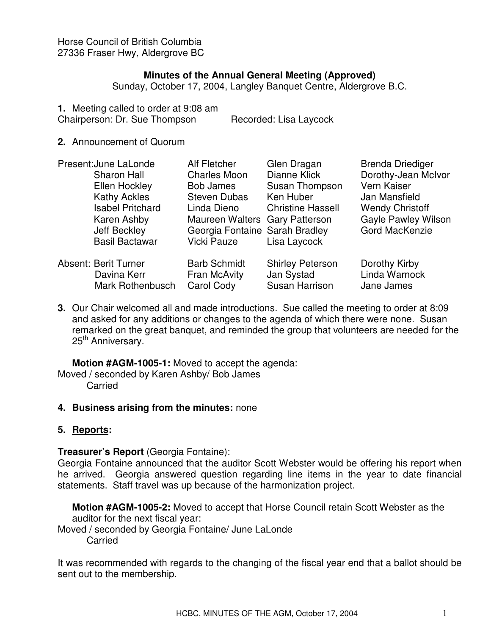Horse Council of British Columbia 27336 Fraser Hwy, Aldergrove BC

### **Minutes of the Annual General Meeting (Approved)**

Sunday, October 17, 2004, Langley Banquet Centre, Aldergrove B.C.

- **1.** Meeting called to order at 9:08 am Chairperson: Dr. Sue Thompson Recorded: Lisa Laycock
- **2.** Announcement of Quorum

| Present: June LaLonde |                             | <b>Alf Fletcher</b>            | Glen Dragan              | <b>Brenda Driediger</b>    |
|-----------------------|-----------------------------|--------------------------------|--------------------------|----------------------------|
|                       | <b>Sharon Hall</b>          | <b>Charles Moon</b>            | Dianne Klick             | Dorothy-Jean McIvor        |
|                       | Ellen Hockley               | <b>Bob James</b>               | Susan Thompson           | Vern Kaiser                |
|                       | <b>Kathy Ackles</b>         | <b>Steven Dubas</b>            | Ken Huber                | Jan Mansfield              |
|                       | <b>Isabel Pritchard</b>     | Linda Dieno                    | <b>Christine Hassell</b> | <b>Wendy Christoff</b>     |
|                       | Karen Ashby                 | Maureen Walters Gary Patterson |                          | <b>Gayle Pawley Wilson</b> |
|                       | Jeff Beckley                | Georgia Fontaine Sarah Bradley |                          | Gord MacKenzie             |
|                       | <b>Basil Bactawar</b>       | Vicki Pauze                    | Lisa Laycock             |                            |
|                       | <b>Absent: Berit Turner</b> | <b>Barb Schmidt</b>            | <b>Shirley Peterson</b>  | Dorothy Kirby              |
|                       | Davina Kerr                 | Fran McAvity                   | Jan Systad               | Linda Warnock              |
|                       | Mark Rothenbusch            | Carol Cody                     | Susan Harrison           | Jane James                 |
|                       |                             |                                |                          |                            |

**3.** Our Chair welcomed all and made introductions. Sue called the meeting to order at 8:09 and asked for any additions or changes to the agenda of which there were none. Susan remarked on the great banquet, and reminded the group that volunteers are needed for the 25<sup>th</sup> Anniversary.

**Motion #AGM-1005-1:** Moved to accept the agenda: Moved / seconded by Karen Ashby/ Bob James **Carried** 

#### **4. Business arising from the minutes:** none

#### **5. Reports:**

#### **Treasurer's Report** (Georgia Fontaine):

Georgia Fontaine announced that the auditor Scott Webster would be offering his report when he arrived. Georgia answered question regarding line items in the year to date financial statements. Staff travel was up because of the harmonization project.

**Motion #AGM-1005-2:** Moved to accept that Horse Council retain Scott Webster as the auditor for the next fiscal year:

Moved / seconded by Georgia Fontaine/ June LaLonde

**Carried** 

It was recommended with regards to the changing of the fiscal year end that a ballot should be sent out to the membership.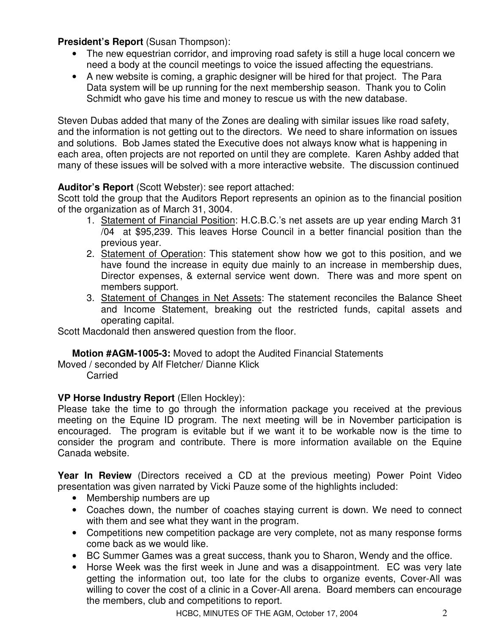# **President's Report** (Susan Thompson):

- The new equestrian corridor, and improving road safety is still a huge local concern we need a body at the council meetings to voice the issued affecting the equestrians.
- A new website is coming, a graphic designer will be hired for that project. The Para Data system will be up running for the next membership season. Thank you to Colin Schmidt who gave his time and money to rescue us with the new database.

Steven Dubas added that many of the Zones are dealing with similar issues like road safety, and the information is not getting out to the directors. We need to share information on issues and solutions. Bob James stated the Executive does not always know what is happening in each area, often projects are not reported on until they are complete. Karen Ashby added that many of these issues will be solved with a more interactive website. The discussion continued

# **Auditor's Report** (Scott Webster): see report attached:

Scott told the group that the Auditors Report represents an opinion as to the financial position of the organization as of March 31, 3004.

- 1. Statement of Financial Position: H.C.B.C.'s net assets are up year ending March 31 /04 at \$95,239. This leaves Horse Council in a better financial position than the previous year.
- 2. Statement of Operation: This statement show how we got to this position, and we have found the increase in equity due mainly to an increase in membership dues, Director expenses, & external service went down. There was and more spent on members support.
- 3. Statement of Changes in Net Assets: The statement reconciles the Balance Sheet and Income Statement, breaking out the restricted funds, capital assets and operating capital.

Scott Macdonald then answered question from the floor.

# **Motion #AGM-1005-3:** Moved to adopt the Audited Financial Statements

Moved / seconded by Alf Fletcher/ Dianne Klick

Carried

# **VP Horse Industry Report** (Ellen Hockley):

Please take the time to go through the information package you received at the previous meeting on the Equine ID program. The next meeting will be in November participation is encouraged. The program is evitable but if we want it to be workable now is the time to consider the program and contribute. There is more information available on the Equine Canada website.

**Year In Review** (Directors received a CD at the previous meeting) Power Point Video presentation was given narrated by Vicki Pauze some of the highlights included:

- Membership numbers are up
- Coaches down, the number of coaches staying current is down. We need to connect with them and see what they want in the program.
- Competitions new competition package are very complete, not as many response forms come back as we would like.
- BC Summer Games was a great success, thank you to Sharon, Wendy and the office.
- Horse Week was the first week in June and was a disappointment. EC was very late getting the information out, too late for the clubs to organize events, Cover-All was willing to cover the cost of a clinic in a Cover-All arena. Board members can encourage the members, club and competitions to report.